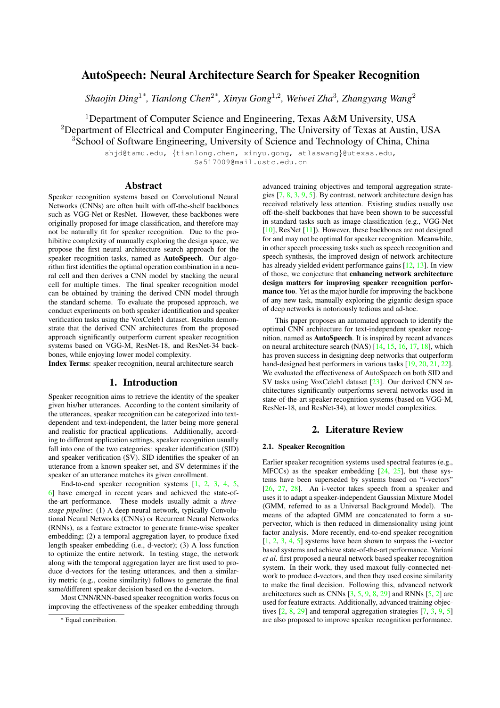# AutoSpeech: Neural Architecture Search for Speaker Recognition

*Shaojin Ding*<sup>1</sup>*\* , Tianlong Chen*<sup>2</sup>*\* , Xinyu Gong*<sup>1</sup>,<sup>2</sup> *, Weiwei Zha*<sup>3</sup> *, Zhangyang Wang*<sup>2</sup>

<sup>1</sup>Department of Computer Science and Engineering, Texas A&M University, USA <sup>2</sup>Department of Electrical and Computer Engineering, The University of Texas at Austin, USA <sup>3</sup>School of Software Engineering, University of Science and Technology of China, China

> shjd@tamu.edu, {tianlong.chen, xinyu.gong, atlaswang}@utexas.edu, Sa517009@mail.ustc.edu.cn

#### Abstract

Speaker recognition systems based on Convolutional Neural Networks (CNNs) are often built with off-the-shelf backbones such as VGG-Net or ResNet. However, these backbones were originally proposed for image classification, and therefore may not be naturally fit for speaker recognition. Due to the prohibitive complexity of manually exploring the design space, we propose the first neural architecture search approach for the speaker recognition tasks, named as AutoSpeech. Our algorithm first identifies the optimal operation combination in a neural cell and then derives a CNN model by stacking the neural cell for multiple times. The final speaker recognition model can be obtained by training the derived CNN model through the standard scheme. To evaluate the proposed approach, we conduct experiments on both speaker identification and speaker verification tasks using the VoxCeleb1 dataset. Results demonstrate that the derived CNN architectures from the proposed approach significantly outperform current speaker recognition systems based on VGG-M, ResNet-18, and ResNet-34 backbones, while enjoying lower model complexity.

Index Terms: speaker recognition, neural architecture search

## 1. Introduction

Speaker recognition aims to retrieve the identity of the speaker given his/her utterances. According to the content similarity of the utterances, speaker recognition can be categorized into textdependent and text-independent, the latter being more general and realistic for practical applications. Additionally, according to different application settings, speaker recognition usually fall into one of the two categories: speaker identification (SID) and speaker verification (SV). SID identifies the speaker of an utterance from a known speaker set, and SV determines if the speaker of an utterance matches its given enrollment.

End-to-end speaker recognition systems [\[1,](#page-4-0) [2,](#page-4-1) [3,](#page-4-2) [4,](#page-4-3) [5,](#page-4-4) [6\]](#page-4-5) have emerged in recent years and achieved the state-ofthe-art performance. These models usually admit a *threestage pipeline*: (1) A deep neural network, typically Convolutional Neural Networks (CNNs) or Recurrent Neural Networks (RNNs), as a feature extractor to generate frame-wise speaker embedding; (2) a temporal aggregation layer, to produce fixed length speaker embedding (i.e., d-vector); (3) A loss function to optimize the entire network. In testing stage, the network along with the temporal aggregation layer are first used to produce d-vectors for the testing utterances, and then a similarity metric (e.g., cosine similarity) follows to generate the final same/different speaker decision based on the d-vectors.

Most CNN/RNN-based speaker recognition works focus on improving the effectiveness of the speaker embedding through

advanced training objectives and temporal aggregation strategies [\[7,](#page-4-6) [8,](#page-4-7) [3,](#page-4-2) [9,](#page-4-8) [5\]](#page-4-4). By contrast, network architecture design has received relatively less attention. Existing studies usually use off-the-shelf backbones that have been shown to be successful in standard tasks such as image classification (e.g., VGG-Net [\[10\]](#page-4-9), ResNet [\[11\]](#page-4-10)). However, these backbones are not designed for and may not be optimal for speaker recognition. Meanwhile, in other speech processing tasks such as speech recognition and speech synthesis, the improved design of network architecture has already yielded evident performance gains [\[12,](#page-4-11) [13\]](#page-4-12). In view of those, we conjecture that enhancing network architecture design matters for improving speaker recognition performance too. Yet as the major hurdle for improving the backbone of any new task, manually exploring the gigantic design space of deep networks is notoriously tedious and ad-hoc.

This paper proposes an automated approach to identify the optimal CNN architecture for text-independent speaker recognition, named as AutoSpeech. It is inspired by recent advances on neural architecture search (NAS) [\[14,](#page-4-13) [15,](#page-4-14) [16,](#page-4-15) [17,](#page-4-16) [18\]](#page-4-17), which has proven success in designing deep networks that outperform hand-designed best performers in various tasks [\[19,](#page-4-18) [20,](#page-4-19) [21,](#page-4-20) [22\]](#page-4-21). We evaluated the effectiveness of AutoSpeech on both SID and SV tasks using VoxCeleb1 dataset [\[23\]](#page-4-22). Our derived CNN architectures significantly outperforms several networks used in state-of-the-art speaker recognition systems (based on VGG-M, ResNet-18, and ResNet-34), at lower model complexities.

## 2. Literature Review

#### 2.1. Speaker Recognition

Earlier speaker recognition systems used spectral features (e.g., MFCCs) as the speaker embedding  $[24, 25]$  $[24, 25]$  $[24, 25]$ , but these systems have been superseded by systems based on "i-vectors" [\[26,](#page-4-25) [27,](#page-4-26) [28\]](#page-4-27). An i-vector takes speech from a speaker and uses it to adapt a speaker-independent Gaussian Mixture Model (GMM, referred to as a Universal Background Model). The means of the adapted GMM are concatenated to form a supervector, which is then reduced in dimensionality using joint factor analysis. More recently, end-to-end speaker recognition [\[1,](#page-4-0) [2,](#page-4-1) [3,](#page-4-2) [4,](#page-4-3) [5\]](#page-4-4) systems have been shown to surpass the i-vector based systems and achieve state-of-the-art performance. Variani *et al*. first proposed a neural network based speaker recognition system. In their work, they used maxout fully-connected network to produce d-vectors, and then they used cosine similarity to make the final decision. Following this, advanced network architectures such as CNNs  $[3, 5, 9, 8, 29]$  $[3, 5, 9, 8, 29]$  $[3, 5, 9, 8, 29]$  $[3, 5, 9, 8, 29]$  $[3, 5, 9, 8, 29]$  $[3, 5, 9, 8, 29]$  $[3, 5, 9, 8, 29]$  $[3, 5, 9, 8, 29]$  $[3, 5, 9, 8, 29]$  and RNNs  $[5, 2]$  $[5, 2]$  $[5, 2]$  are used for feature extracts. Additionally, advanced training objectives  $[2, 8, 29]$  $[2, 8, 29]$  $[2, 8, 29]$  $[2, 8, 29]$  $[2, 8, 29]$  and temporal aggregation strategies  $[7, 3, 9, 5]$  $[7, 3, 9, 5]$  $[7, 3, 9, 5]$  $[7, 3, 9, 5]$  $[7, 3, 9, 5]$  $[7, 3, 9, 5]$  $[7, 3, 9, 5]$ are also proposed to improve speaker recognition performance.

<sup>\*</sup> Equal contribution.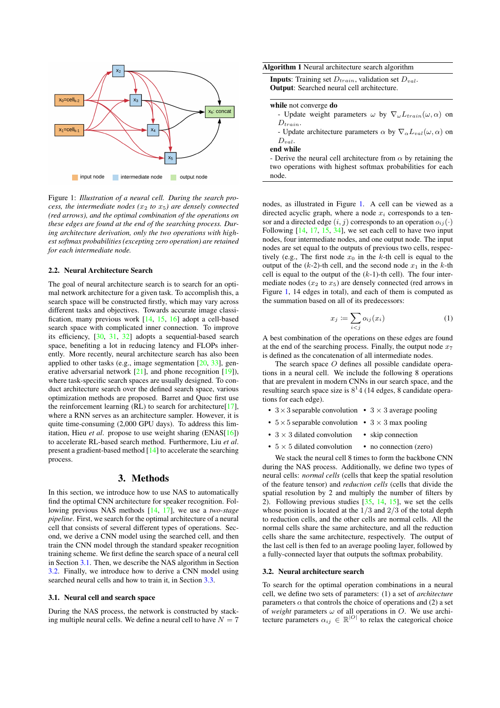<span id="page-1-2"></span>

Figure 1: *Illustration of a neural cell. During the search process, the intermediate nodes (*x<sup>2</sup> *to* x5*) are densely connected (red arrows), and the optimal combination of the operations on these edges are found at the end of the searching process. During architecture derivation, only the two operations with highest softmax probabilities (excepting zero operation) are retained for each intermediate node.*

#### 2.2. Neural Architecture Search

The goal of neural architecture search is to search for an optimal network architecture for a given task. To accomplish this, a search space will be constructed firstly, which may vary across different tasks and objectives. Towards accurate image classification, many previous work [\[14,](#page-4-13) [15,](#page-4-14) [16\]](#page-4-15) adopt a cell-based search space with complicated inner connection. To improve its efficiency, [\[30,](#page-4-29) [31,](#page-4-30) [32\]](#page-4-31) adopts a sequential-based search space, benefiting a lot in reducing latency and FLOPs inherently. More recently, neural architecture search has also been applied to other tasks (e.g., image segmentation [\[20,](#page-4-19) [33\]](#page-4-32), generative adversarial network [\[21\]](#page-4-20), and phone recognition [\[19\]](#page-4-18)), where task-specific search spaces are usually designed. To conduct architecture search over the defined search space, various optimization methods are proposed. Barret and Quoc first use the reinforcement learning (RL) to search for architecture[\[17\]](#page-4-16), where a RNN serves as an architecture sampler. However, it is quite time-consuming (2,000 GPU days). To address this limitation, Hieu *et al*. propose to use weight sharing (ENAS[\[16\]](#page-4-15)) to accelerate RL-based search method. Furthermore, Liu *et al*. present a gradient-based method [\[14\]](#page-4-13) to accelerate the searching process.

## 3. Methods

In this section, we introduce how to use NAS to automatically find the optimal CNN architecture for speaker recognition. Following previous NAS methods [\[14,](#page-4-13) [17\]](#page-4-16), we use a *two-stage pipeline*. First, we search for the optimal architecture of a neural cell that consists of several different types of operations. Second, we derive a CNN model using the searched cell, and then train the CNN model through the standard speaker recognition training scheme. We first define the search space of a neural cell in Section [3.1.](#page-1-0) Then, we describe the NAS algorithm in Section [3.2.](#page-1-1) Finally, we introduce how to derive a CNN model using searched neural cells and how to train it, in Section [3.3.](#page-2-0)

#### <span id="page-1-0"></span>3.1. Neural cell and search space

During the NAS process, the network is constructed by stacking multiple neural cells. We define a neural cell to have  $N = 7$ 

<span id="page-1-3"></span>

|  |  |  | Algorithm 1 Neural architecture search algorithm |  |  |  |
|--|--|--|--------------------------------------------------|--|--|--|
|--|--|--|--------------------------------------------------|--|--|--|

| <b>Inputs</b> : Training set $D_{train}$ , validation set $D_{val}$ . |  |
|-----------------------------------------------------------------------|--|
| <b>Output:</b> Searched neural cell architecture.                     |  |

#### while not converge do

|               | - Update weight parameters $\omega$ by $\nabla_{\omega} L_{train}(\omega, \alpha)$ on |  |  |  |
|---------------|---------------------------------------------------------------------------------------|--|--|--|
| $D_{train}$ . |                                                                                       |  |  |  |

- Update architecture parameters  $\alpha$  by  $\nabla_{\alpha}L_{val}(\omega,\alpha)$  on  $D_{val}$ .

end while

- Derive the neural cell architecture from  $\alpha$  by retaining the two operations with highest softmax probabilities for each node.

nodes, as illustrated in Figure [1.](#page-1-2) A cell can be viewed as a directed acyclic graph, where a node  $x_i$  corresponds to a tensor and a directed edge  $(i, j)$  corresponds to an operation  $o_{ij}(\cdot)$ Following  $[14, 17, 15, 34]$  $[14, 17, 15, 34]$  $[14, 17, 15, 34]$  $[14, 17, 15, 34]$  $[14, 17, 15, 34]$  $[14, 17, 15, 34]$  $[14, 17, 15, 34]$ , we set each cell to have two input nodes, four intermediate nodes, and one output node. The input nodes are set equal to the outputs of previous two cells, respectively (e.g., The first node  $x_0$  in the k-th cell is equal to the output of the  $(k-2)$ -th cell, and the second node  $x_1$  in the k-th cell is equal to the output of the  $(k-1)$ -th cell). The four intermediate nodes  $(x_2 \text{ to } x_5)$  are densely connected (red arrows in Figure [1,](#page-1-2) 14 edges in total), and each of them is computed as the summation based on all of its predecessors:

$$
x_j \coloneqq \sum_{i < j} o_{ij}(x_i) \tag{1}
$$

A best combination of the operations on these edges are found at the end of the searching process. Finally, the output node  $x_7$ is defined as the concatenation of all intermediate nodes.

The search space O defines all possible candidate operations in a neural cell. We include the following 8 operations that are prevalent in modern CNNs in our search space, and the resulting search space size is  $8^14$  (14 edges, 8 candidate operations for each edge).

- $3 \times 3$  separable convolution  $3 \times 3$  average pooling
- $5 \times 5$  separable convolution  $3 \times 3$  max pooling
- $3 \times 3$  dilated convolution • skip connection
- $5 \times 5$  dilated convolution • no connection (zero)

We stack the neural cell 8 times to form the backbone CNN during the NAS process. Additionally, we define two types of neural cells: *normal cells* (cells that keep the spatial resolution of the feature tensor) and *reduction cells* (cells that divide the spatial resolution by 2 and multiply the number of filters by 2). Following previous studies [\[35,](#page-4-34) [14,](#page-4-13) [15\]](#page-4-14), we set the cells whose position is located at the  $1/3$  and  $2/3$  of the total depth to reduction cells, and the other cells are normal cells. All the normal cells share the same architecture, and all the reduction cells share the same architecture, respectively. The output of the last cell is then fed to an average pooling layer, followed by a fully-connected layer that outputs the softmax probability.

#### <span id="page-1-1"></span>3.2. Neural architecture search

To search for the optimal operation combinations in a neural cell, we define two sets of parameters: (1) a set of *architecture* parameters  $\alpha$  that controls the choice of operations and (2) a set of *weight* parameters  $\omega$  of all operations in O. We use architecture parameters  $\alpha_{ij} \in \mathbb{R}^{|O|}$  to relax the categorical choice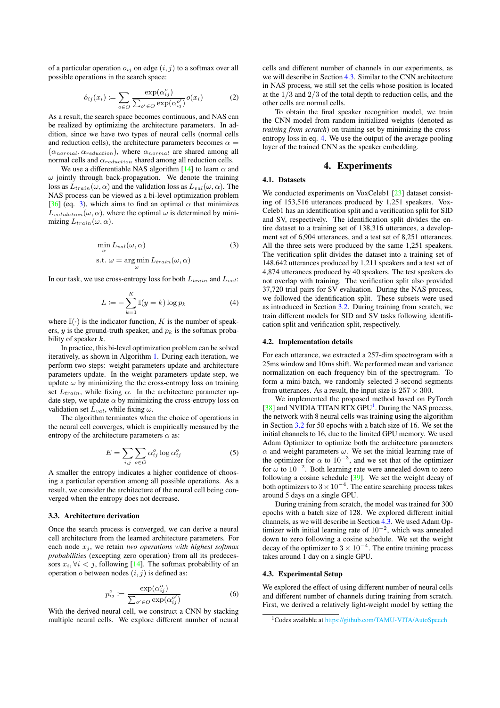of a particular operation  $o_{ij}$  on edge  $(i, j)$  to a softmax over all possible operations in the search space:

$$
\hat{o}_{ij}(x_i) \coloneqq \sum_{o \in O} \frac{\exp(\alpha_{ij}^o)}{\sum_{o' \in O} \exp(\alpha_{ij}^{o'})} o(x_i) \tag{2}
$$

As a result, the search space becomes continuous, and NAS can be realized by optimizing the architecture parameters. In addition, since we have two types of neural cells (normal cells and reduction cells), the architecture parameters becomes  $\alpha =$  $(\alpha_{normal}, \alpha_{reduction})$ , where  $\alpha_{normal}$  are shared among all normal cells and  $\alpha_{reduction}$  shared among all reduction cells.

We use a differentiable NAS algorithm [\[14\]](#page-4-13) to learn  $\alpha$  and  $\omega$  jointly through back-propagation. We denote the training loss as  $L_{train}(\omega, \alpha)$  and the validation loss as  $L_{val}(\omega, \alpha)$ . The NAS process can be viewed as a bi-level optimization problem [\[36\]](#page-4-35) (eq. [3\)](#page-2-1), which aims to find an optimal  $\alpha$  that minimizes  $L_{validation}(\omega, \alpha)$ , where the optimal  $\omega$  is determined by minimizing  $L_{train}(\omega, \alpha)$ .

$$
\min_{\alpha} L_{val}(\omega, \alpha)
$$
\n
$$
\text{s.t. } \omega = \underset{\omega}{\arg\min} L_{train}(\omega, \alpha) \tag{3}
$$

In our task, we use cross-entropy loss for both  $L_{train}$  and  $L_{val}$ :

<span id="page-2-3"></span>
$$
L := -\sum_{k=1}^{K} \mathbb{I}(y = k) \log p_k \tag{4}
$$

where  $\mathbb{I}(\cdot)$  is the indicator function, K is the number of speakers, y is the ground-truth speaker, and  $p_k$  is the softmax probability of speaker  $k$ .

In practice, this bi-level optimization problem can be solved iteratively, as shown in Algorithm [1.](#page-1-3) During each iteration, we perform two steps: weight parameters update and architecture parameters update. In the weight parameters update step, we update  $\omega$  by minimizing the the cross-entropy loss on training set  $L_{train}$ , while fixing  $\alpha$ . In the architecture parameter update step, we update  $\alpha$  by minimizing the cross-entropy loss on validation set  $L_{val}$ , while fixing  $\omega$ .

The algorithm terminates when the choice of operations in the neural cell converges, which is empirically measured by the entropy of the architecture parameters  $\alpha$  as:

$$
E = \sum_{i,j} \sum_{o \in O} \alpha_{ij}^o \log \alpha_{ij}^o \tag{5}
$$

A smaller the entropy indicates a higher confidence of choosing a particular operation among all possible operations. As a result, we consider the architecture of the neural cell being converged when the entropy does not decrease.

#### <span id="page-2-0"></span>3.3. Architecture derivation

Once the search process is converged, we can derive a neural cell architecture from the learned architecture parameters. For each node  $x_j$ , we retain *two operations with highest softmax probabilities* (excepting zero operation) from all its predecessors  $x_i, \forall i \leq j$ , following [\[14\]](#page-4-13). The softmax probability of an operation  $o$  between nodes  $(i, j)$  is defined as:

$$
p_{ij}^o := \frac{\exp(\alpha_{ij}^o)}{\sum_{o' \in O} \exp(\alpha_{ij}^{o'})}
$$
 (6)

With the derived neural cell, we construct a CNN by stacking multiple neural cells. We explore different number of neural cells and different number of channels in our experiments, as we will describe in Section [4.3.](#page-2-2) Similar to the CNN architecture in NAS process, we still set the cells whose position is located at the  $1/3$  and  $2/3$  of the total depth to reduction cells, and the other cells are normal cells.

To obtain the final speaker recognition model, we train the CNN model from random initialized weights (denoted as *training from scratch*) on training set by minimizing the crossentropy loss in eq. [4.](#page-2-3) We use the output of the average pooling layer of the trained CNN as the speaker embedding.

#### 4. Experiments

## 4.1. Datasets

<span id="page-2-1"></span>We conducted experiments on VoxCeleb1 [\[23\]](#page-4-22) dataset consisting of 153,516 utterances produced by 1,251 speakers. Vox-Celeb1 has an identification split and a verification split for SID and SV, respectively. The identification split divides the entire dataset to a training set of 138,316 utterances, a development set of 6,904 utterances, and a test set of 8,251 utterances. All the three sets were produced by the same 1,251 speakers. The verification split divides the dataset into a training set of 148,642 utterances produced by 1,211 speakers and a test set of 4,874 utterances produced by 40 speakers. The test speakers do not overlap with training. The verification split also provided 37,720 trial pairs for SV evaluation. During the NAS process, we followed the identification split. These subsets were used as introduced in Section [3.2.](#page-1-1) During training from scratch, we train different models for SID and SV tasks following identification split and verification split, respectively.

#### 4.2. Implementation details

For each utterance, we extracted a 257-dim spectrogram with a 25ms window and 10ms shift. We performed mean and variance normalization on each frequency bin of the spectrogram. To form a mini-batch, we randomly selected 3-second segments from utterances. As a result, the input size is  $257 \times 300$ .

We implemented the proposed method based on PyTorch [\[38\]](#page-4-36) and NVIDIA TITAN RTX GPU<sup>[1](#page-2-4)</sup>. During the NAS process, the network with 8 neural cells was training using the algorithm in Section [3.2](#page-1-1) for 50 epochs with a batch size of 16. We set the initial channels to 16, due to the limited GPU memory. We used Adam Optimizer to optimize both the architecture parameters  $\alpha$  and weight parameters  $\omega$ . We set the initial learning rate of the optimizer for  $\alpha$  to  $10^{-3}$ , and we set that of the optimizer for  $\omega$  to 10<sup>-2</sup>. Both learning rate were annealed down to zero following a cosine schedule [\[39\]](#page-4-37). We set the weight decay of both optimizers to  $3 \times 10^{-4}$ . The entire searching process takes around 5 days on a single GPU.

During training from scratch, the model was trained for 300 epochs with a batch size of 128. We explored different initial channels, as we will describe in Section [4.3.](#page-2-2) We used Adam Optimizer with initial learning rate of  $10^{-2}$ , which was annealed down to zero following a cosine schedule. We set the weight decay of the optimizer to  $3 \times 10^{-4}$ . The entire training process takes around 1 day on a single GPU.

#### <span id="page-2-2"></span>4.3. Experimental Setup

We explored the effect of using different number of neural cells and different number of channels during training from scratch. First, we derived a relatively light-weight model by setting the

<span id="page-2-4"></span><sup>1</sup>Codes available at <https://github.com/TAMU-VITA/AutoSpeech>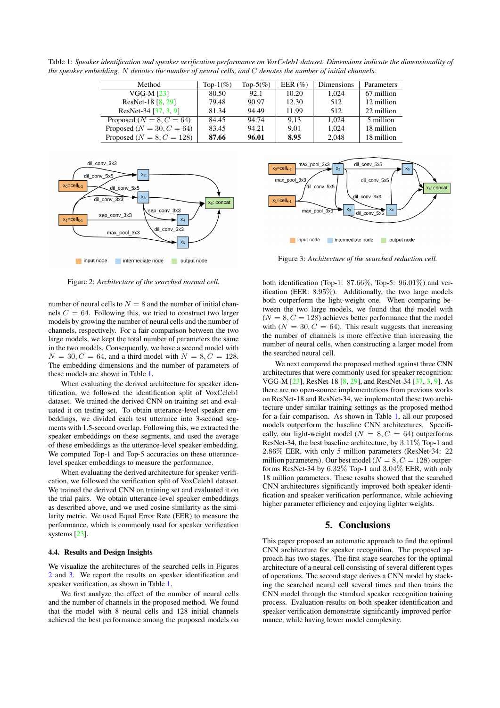<span id="page-3-0"></span>Table 1: *Speaker identification and speaker verification performance on VoxCeleb1 dataset. Dimensions indicate the dimensionality of the speaker embedding.* N *denotes the number of neural cells, and* C *denotes the number of initial channels.*

| Method                        | Top- $1\%$ ) | Top-5 $(\%)$ | EER $(\%)$ | Dimensions | Parameters |
|-------------------------------|--------------|--------------|------------|------------|------------|
|                               |              |              |            |            |            |
| VGG-M [23]                    | 80.50        | 92.1         | 10.20      | 1.024      | 67 million |
| ResNet-18 $[8, 29]$           | 79.48        | 90.97        | 12.30      | 512        | 12 million |
| ResNet-34 [37, 3, 9]          | 81.34        | 94.49        | 11.99      | 512        | 22 million |
| Proposed ( $N = 8, C = 64$ )  | 84.45        | 94.74        | 9.13       | 1.024      | 5 million  |
| Proposed ( $N = 30, C = 64$ ) | 83.45        | 94.21        | 9.01       | 1.024      | 18 million |
| Proposed ( $N = 8, C = 128$ ) | 87.66        | 96.01        | 8.95       | 2.048      | 18 million |

<span id="page-3-1"></span>

Figure 2: *Architecture of the searched normal cell.*

number of neural cells to  $N = 8$  and the number of initial channels  $C = 64$ . Following this, we tried to construct two larger models by growing the number of neural cells and the number of channels, respectively. For a fair comparison between the two large models, we kept the total number of parameters the same in the two models. Consequently, we have a second model with  $N = 30, C = 64$ , and a third model with  $N = 8, C = 128$ . The embedding dimensions and the number of parameters of these models are shown in Table [1.](#page-3-0)

When evaluating the derived architecture for speaker identification, we followed the identification split of VoxCeleb1 dataset. We trained the derived CNN on training set and evaluated it on testing set. To obtain utterance-level speaker embeddings, we divided each test utterance into 3-second segments with 1.5-second overlap. Following this, we extracted the speaker embeddings on these segments, and used the average of these embeddings as the utterance-level speaker embedding. We computed Top-1 and Top-5 accuracies on these utterancelevel speaker embeddings to measure the performance.

When evaluating the derived architecture for speaker verification, we followed the verification split of VoxCeleb1 dataset. We trained the derived CNN on training set and evaluated it on the trial pairs. We obtain utterance-level speaker embeddings as described above, and we used cosine similarity as the similarity metric. We used Equal Error Rate (EER) to measure the performance, which is commonly used for speaker verification systems [\[23\]](#page-4-22).

#### 4.4. Results and Design Insights

We visualize the architectures of the searched cells in Figures [2](#page-3-1) and [3.](#page-3-2) We report the results on speaker identification and speaker verification, as shown in Table [1.](#page-3-0)

We first analyze the effect of the number of neural cells and the number of channels in the proposed method. We found that the model with 8 neural cells and 128 initial channels achieved the best performance among the proposed models on

<span id="page-3-2"></span>

Figure 3: *Architecture of the searched reduction cell.*

both identification (Top-1:  $87.66\%$ , Top-5:  $96.01\%$ ) and verification (EER: 8.95%). Additionally, the two large models both outperform the light-weight one. When comparing between the two large models, we found that the model with  $(N = 8, C = 128)$  achieves better performance that the model with  $(N = 30, C = 64)$ . This result suggests that increasing the number of channels is more effective than increasing the number of neural cells, when constructing a larger model from the searched neural cell.

We next compared the proposed method against three CNN architectures that were commonly used for speaker recognition: VGG-M [\[23\]](#page-4-22), ResNet-18 [\[8,](#page-4-7) [29\]](#page-4-28), and RestNet-34 [\[37,](#page-4-38) [3,](#page-4-2) [9\]](#page-4-8). As there are no open-source implementations from previous works on ResNet-18 and ResNet-34, we implemented these two architecture under similar training settings as the proposed method for a fair comparison. As shown in Table [1,](#page-3-0) all our proposed models outperform the baseline CNN architectures. Specifically, our light-weight model ( $N = 8, C = 64$ ) outperforms ResNet-34, the best baseline architecture, by 3.11% Top-1 and 2.86% EER, with only 5 million parameters (ResNet-34: 22 million parameters). Our best model ( $N = 8, C = 128$ ) outperforms ResNet-34 by 6.32% Top-1 and 3.04% EER, with only 18 million parameters. These results showed that the searched CNN architectures significantly improved both speaker identification and speaker verification performance, while achieving higher parameter efficiency and enjoying lighter weights.

## 5. Conclusions

This paper proposed an automatic approach to find the optimal CNN architecture for speaker recognition. The proposed approach has two stages. The first stage searches for the optimal architecture of a neural cell consisting of several different types of operations. The second stage derives a CNN model by stacking the searched neural cell several times and then trains the CNN model through the standard speaker recognition training process. Evaluation results on both speaker identification and speaker verification demonstrate significantly improved performance, while having lower model complexity.